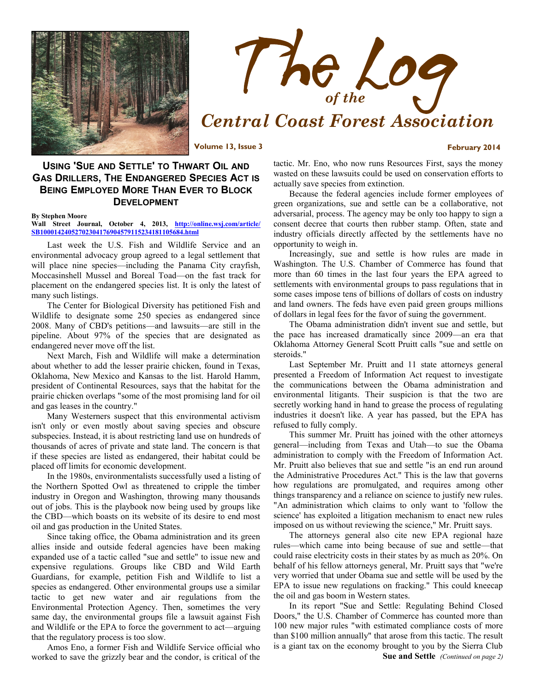



**Volume 13, Issue 3 February 2014**

## **USING 'SUE AND SETTLE' TO THWART OIL AND GAS DRILLERS, THE ENDANGERED SPECIES ACT IS BEING EMPLOYED MORE THAN EVER TO BLOCK DEVELOPMENT**

**By Stephen Moore**

**Wall Street Journal, October 4, 2013, [http://online.wsj.com/article/](http://online.wsj.com/article/SB10001424052702304176904579115234181105684.html) [SB10001424052702304176904579115234181105684.html](http://online.wsj.com/article/SB10001424052702304176904579115234181105684.html)**

Last week the U.S. Fish and Wildlife Service and an environmental advocacy group agreed to a legal settlement that will place nine species—including the Panama City crayfish, Moccasinshell Mussel and Boreal Toad—on the fast track for placement on the endangered species list. It is only the latest of many such listings.

The Center for Biological Diversity has petitioned Fish and Wildlife to designate some 250 species as endangered since 2008. Many of CBD's petitions—and lawsuits—are still in the pipeline. About 97% of the species that are designated as endangered never move off the list.

Next March, Fish and Wildlife will make a determination about whether to add the lesser prairie chicken, found in Texas, Oklahoma, New Mexico and Kansas to the list. Harold Hamm, president of Continental Resources, says that the habitat for the prairie chicken overlaps "some of the most promising land for oil and gas leases in the country."

Many Westerners suspect that this environmental activism isn't only or even mostly about saving species and obscure subspecies. Instead, it is about restricting land use on hundreds of thousands of acres of private and state land. The concern is that if these species are listed as endangered, their habitat could be placed off limits for economic development.

In the 1980s, environmentalists successfully used a listing of the Northern Spotted Owl as threatened to cripple the timber industry in Oregon and Washington, throwing many thousands out of jobs. This is the playbook now being used by groups like the CBD—which boasts on its website of its desire to end most oil and gas production in the United States.

Since taking office, the Obama administration and its green allies inside and outside federal agencies have been making expanded use of a tactic called "sue and settle" to issue new and expensive regulations. Groups like CBD and Wild Earth Guardians, for example, petition Fish and Wildlife to list a species as endangered. Other environmental groups use a similar tactic to get new water and air regulations from the Environmental Protection Agency. Then, sometimes the very same day, the environmental groups file a lawsuit against Fish and Wildlife or the EPA to force the government to act—arguing that the regulatory process is too slow.

Amos Eno, a former Fish and Wildlife Service official who worked to save the grizzly bear and the condor, is critical of the tactic. Mr. Eno, who now runs Resources First, says the money wasted on these lawsuits could be used on conservation efforts to actually save species from extinction.

Because the federal agencies include former employees of green organizations, sue and settle can be a collaborative, not adversarial, process. The agency may be only too happy to sign a consent decree that courts then rubber stamp. Often, state and industry officials directly affected by the settlements have no opportunity to weigh in.

Increasingly, sue and settle is how rules are made in Washington. The U.S. Chamber of Commerce has found that more than 60 times in the last four years the EPA agreed to settlements with environmental groups to pass regulations that in some cases impose tens of billions of dollars of costs on industry and land owners. The feds have even paid green groups millions of dollars in legal fees for the favor of suing the government.

The Obama administration didn't invent sue and settle, but the pace has increased dramatically since 2009—an era that Oklahoma Attorney General Scott Pruitt calls "sue and settle on steroids."

Last September Mr. Pruitt and 11 state attorneys general presented a Freedom of Information Act request to investigate the communications between the Obama administration and environmental litigants. Their suspicion is that the two are secretly working hand in hand to grease the process of regulating industries it doesn't like. A year has passed, but the EPA has refused to fully comply.

This summer Mr. Pruitt has joined with the other attorneys general—including from Texas and Utah—to sue the Obama administration to comply with the Freedom of Information Act. Mr. Pruitt also believes that sue and settle "is an end run around the Administrative Procedures Act." This is the law that governs how regulations are promulgated, and requires among other things transparency and a reliance on science to justify new rules. "An administration which claims to only want to 'follow the science' has exploited a litigation mechanism to enact new rules imposed on us without reviewing the science," Mr. Pruitt says.

The attorneys general also cite new EPA regional haze rules—which came into being because of sue and settle—that could raise electricity costs in their states by as much as 20%. On behalf of his fellow attorneys general, Mr. Pruitt says that "we're very worried that under Obama sue and settle will be used by the EPA to issue new regulations on fracking." This could kneecap the oil and gas boom in Western states.

In its report "Sue and Settle: Regulating Behind Closed Doors," the U.S. Chamber of Commerce has counted more than 100 new major rules "with estimated compliance costs of more than \$100 million annually" that arose from this tactic. The result is a giant tax on the economy brought to you by the Sierra Club **Sue and Settle** *(Continued on page 2)*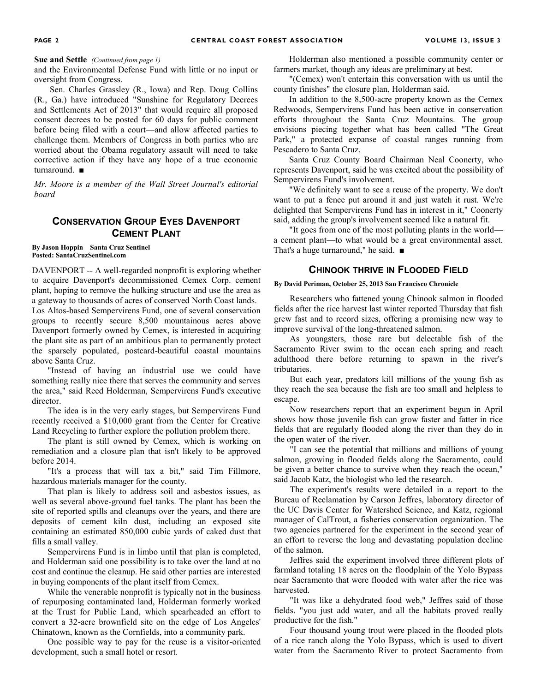#### **Sue and Settle** *(Continued from page 1)*

and the Environmental Defense Fund with little or no input or oversight from Congress.

Sen. Charles Grassley (R., Iowa) and Rep. Doug Collins (R., Ga.) have introduced "Sunshine for Regulatory Decrees and Settlements Act of 2013" that would require all proposed consent decrees to be posted for 60 days for public comment before being filed with a court—and allow affected parties to challenge them. Members of Congress in both parties who are worried about the Obama regulatory assault will need to take corrective action if they have any hope of a true economic turnaround. ■

*Mr. Moore is a member of the Wall Street Journal's editorial board*

## **CONSERVATION GROUP EYES DAVENPORT CEMENT PLANT**

**By Jason Hoppin—Santa Cruz Sentinel Posted: SantaCruzSentinel.com**

DAVENPORT -- A well-regarded nonprofit is exploring whether to acquire Davenport's decommissioned Cemex Corp. cement plant, hoping to remove the hulking structure and use the area as a gateway to thousands of acres of conserved North Coast lands. Los Altos-based Sempervirens Fund, one of several conservation groups to recently secure 8,500 mountainous acres above Davenport formerly owned by Cemex, is interested in acquiring the plant site as part of an ambitious plan to permanently protect the sparsely populated, postcard-beautiful coastal mountains above Santa Cruz.

"Instead of having an industrial use we could have something really nice there that serves the community and serves the area," said Reed Holderman, Sempervirens Fund's executive director.

The idea is in the very early stages, but Sempervirens Fund recently received a \$10,000 grant from the Center for Creative Land Recycling to further explore the pollution problem there.

The plant is still owned by Cemex, which is working on remediation and a closure plan that isn't likely to be approved before 2014.

"It's a process that will tax a bit," said Tim Fillmore, hazardous materials manager for the county.

That plan is likely to address soil and asbestos issues, as well as several above-ground fuel tanks. The plant has been the site of reported spills and cleanups over the years, and there are deposits of cement kiln dust, including an exposed site containing an estimated 850,000 cubic yards of caked dust that fills a small valley.

Sempervirens Fund is in limbo until that plan is completed, and Holderman said one possibility is to take over the land at no cost and continue the cleanup. He said other parties are interested in buying components of the plant itself from Cemex.

While the venerable nonprofit is typically not in the business of repurposing contaminated land, Holderman formerly worked at the Trust for Public Land, which spearheaded an effort to convert a 32-acre brownfield site on the edge of Los Angeles' Chinatown, known as the Cornfields, into a community park.

One possible way to pay for the reuse is a visitor-oriented development, such a small hotel or resort.

Holderman also mentioned a possible community center or farmers market, though any ideas are preliminary at best.

"(Cemex) won't entertain this conversation with us until the county finishes" the closure plan, Holderman said.

In addition to the 8,500-acre property known as the Cemex Redwoods, Sempervirens Fund has been active in conservation efforts throughout the Santa Cruz Mountains. The group envisions piecing together what has been called "The Great Park," a protected expanse of coastal ranges running from Pescadero to Santa Cruz.

Santa Cruz County Board Chairman Neal Coonerty, who represents Davenport, said he was excited about the possibility of Sempervirens Fund's involvement.

"We definitely want to see a reuse of the property. We don't want to put a fence put around it and just watch it rust. We're delighted that Sempervirens Fund has in interest in it," Coonerty said, adding the group's involvement seemed like a natural fit.

"It goes from one of the most polluting plants in the world a cement plant—to what would be a great environmental asset. That's a huge turnaround," he said. ■

#### **CHINOOK THRIVE IN FLOODED FIELD**

#### **By David Periman, October 25, 2013 San Francisco Chronicle**

Researchers who fattened young Chinook salmon in flooded fields after the rice harvest last winter reported Thursday that fish grew fast and to record sizes, offering a promising new way to improve survival of the long-threatened salmon.

As youngsters, those rare but delectable fish of the Sacramento River swim to the ocean each spring and reach adulthood there before returning to spawn in the river's tributaries.

But each year, predators kill millions of the young fish as they reach the sea because the fish are too small and helpless to escape.

Now researchers report that an experiment begun in April shows how those juvenile fish can grow faster and fatter in rice fields that are regularly flooded along the river than they do in the open water of the river.

"I can see the potential that millions and millions of young salmon, growing in flooded fields along the Sacramento, could be given a better chance to survive when they reach the ocean," said Jacob Katz, the biologist who led the research.

The experiment's results were detailed in a report to the Bureau of Reclamation by Carson Jeffres, laboratory director of the UC Davis Center for Watershed Science, and Katz, regional manager of CalTrout, a fisheries conservation organization. The two agencies partnered for the experiment in the second year of an effort to reverse the long and devastating population decline of the salmon.

Jeffres said the experiment involved three different plots of farmland totaling 18 acres on the floodplain of the Yolo Bypass near Sacramento that were flooded with water after the rice was harvested.

"It was like a dehydrated food web," Jeffres said of those fields. "you just add water, and all the habitats proved really productive for the fish."

Four thousand young trout were placed in the flooded plots of a rice ranch along the Yolo Bypass, which is used to divert water from the Sacramento River to protect Sacramento from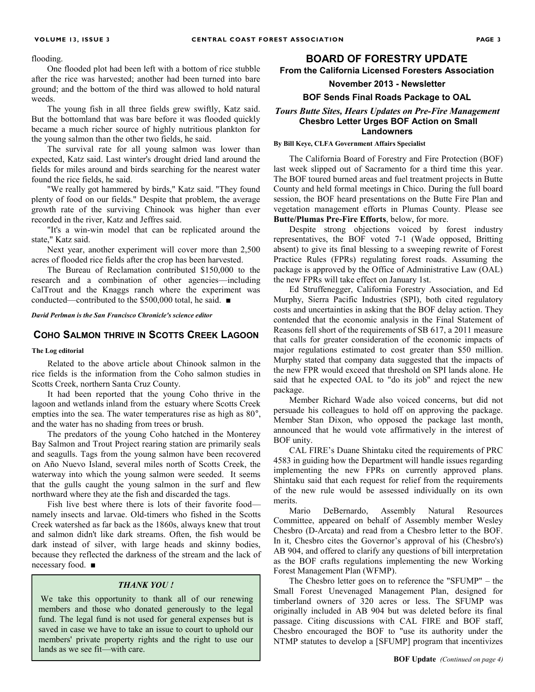flooding.

One flooded plot had been left with a bottom of rice stubble after the rice was harvested; another had been turned into bare ground; and the bottom of the third was allowed to hold natural weeds.

The young fish in all three fields grew swiftly, Katz said. But the bottomland that was bare before it was flooded quickly became a much richer source of highly nutritious plankton for the young salmon than the other two fields, he said.

The survival rate for all young salmon was lower than expected, Katz said. Last winter's drought dried land around the fields for miles around and birds searching for the nearest water found the rice fields, he said.

"We really got hammered by birds," Katz said. "They found plenty of food on our fields." Despite that problem, the average growth rate of the surviving Chinook was higher than ever recorded in the river, Katz and Jeffres said.

"It's a win-win model that can be replicated around the state," Katz said.

Next year, another experiment will cover more than 2,500 acres of flooded rice fields after the crop has been harvested.

The Bureau of Reclamation contributed \$150,000 to the research and a combination of other agencies—including CalTrout and the Knaggs ranch where the experiment was conducted—contributed to the \$500,000 total, he said. ■

*David Perlman is the San Francisco Chronicle's science editor*

### **COHO SALMON THRIVE IN SCOTTS CREEK LAGOON**

#### **The Log editorial**

Related to the above article about Chinook salmon in the rice fields is the information from the Coho salmon studies in Scotts Creek, northern Santa Cruz County.

It had been reported that the young Coho thrive in the lagoon and wetlands inland from the estuary where Scotts Creek empties into the sea. The water temperatures rise as high as 80°, and the water has no shading from trees or brush.

The predators of the young Coho hatched in the Monterey Bay Salmon and Trout Project rearing station are primarily seals and seagulls. Tags from the young salmon have been recovered on Año Nuevo Island, several miles north of Scotts Creek, the waterway into which the young salmon were seeded. It seems that the gulls caught the young salmon in the surf and flew northward where they ate the fish and discarded the tags.

Fish live best where there is lots of their favorite food namely insects and larvae. Old-timers who fished in the Scotts Creek watershed as far back as the 1860s, always knew that trout and salmon didn't like dark streams. Often, the fish would be dark instead of silver, with large heads and skinny bodies, because they reflected the darkness of the stream and the lack of necessary food. ■

#### *THANK YOU !*

We take this opportunity to thank all of our renewing members and those who donated generously to the legal fund. The legal fund is not used for general expenses but is saved in case we have to take an issue to court to uphold our members' private property rights and the right to use our lands as we see fit—with care.

# **BOARD OF FORESTRY UPDATE**

**From the California Licensed Foresters Association**

**November 2013 - Newsletter**

**BOF Sends Final Roads Package to OAL**

## *Tours Butte Sites, Hears Updates on Pre-Fire Management* **Chesbro Letter Urges BOF Action on Small Landowners**

**By Bill Keye, CLFA Government Affairs Specialist**

The California Board of Forestry and Fire Protection (BOF) last week slipped out of Sacramento for a third time this year. The BOF toured burned areas and fuel treatment projects in Butte County and held formal meetings in Chico. During the full board session, the BOF heard presentations on the Butte Fire Plan and vegetation management efforts in Plumas County. Please see **Butte/Plumas Pre-Fire Efforts**, below, for more.

Despite strong objections voiced by forest industry representatives, the BOF voted 7-1 (Wade opposed, Britting absent) to give its final blessing to a sweeping rewrite of Forest Practice Rules (FPRs) regulating forest roads. Assuming the package is approved by the Office of Administrative Law (OAL) the new FPRs will take effect on January 1st.

Ed Struffenegger, California Forestry Association, and Ed Murphy, Sierra Pacific Industries (SPI), both cited regulatory costs and uncertainties in asking that the BOF delay action. They contended that the economic analysis in the Final Statement of Reasons fell short of the requirements of SB 617, a 2011 measure that calls for greater consideration of the economic impacts of major regulations estimated to cost greater than \$50 million. Murphy stated that company data suggested that the impacts of the new FPR would exceed that threshold on SPI lands alone. He said that he expected OAL to "do its job" and reject the new package.

Member Richard Wade also voiced concerns, but did not persuade his colleagues to hold off on approving the package. Member Stan Dixon, who opposed the package last month, announced that he would vote affirmatively in the interest of BOF unity.

CAL FIRE's Duane Shintaku cited the requirements of PRC 4583 in guiding how the Department will handle issues regarding implementing the new FPRs on currently approved plans. Shintaku said that each request for relief from the requirements of the new rule would be assessed individually on its own merits.

Mario DeBernardo, Assembly Natural Resources Committee, appeared on behalf of Assembly member Wesley Chesbro (D-Arcata) and read from a Chesbro letter to the BOF. In it, Chesbro cites the Governor's approval of his (Chesbro's) AB 904, and offered to clarify any questions of bill interpretation as the BOF crafts regulations implementing the new Working Forest Management Plan (WFMP).

The Chesbro letter goes on to reference the "SFUMP" – the Small Forest Unevenaged Management Plan, designed for timberland owners of 320 acres or less. The SFUMP was originally included in AB 904 but was deleted before its final passage. Citing discussions with CAL FIRE and BOF staff, Chesbro encouraged the BOF to "use its authority under the NTMP statutes to develop a [SFUMP] program that incentivizes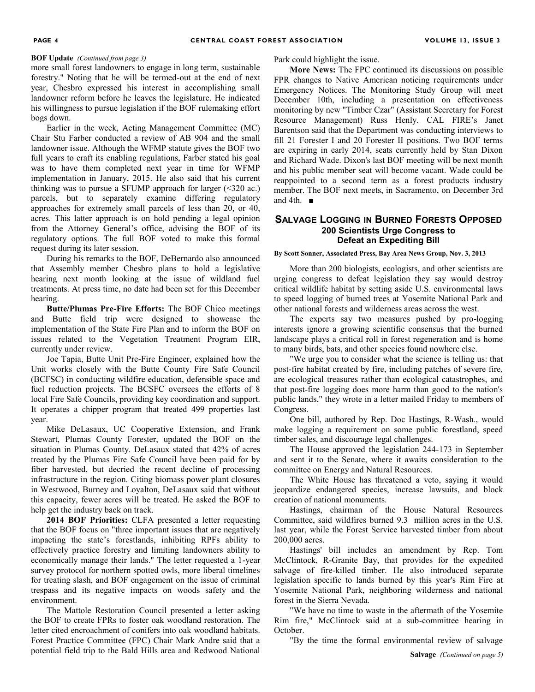## **BOF Update** *(Continued from page 3)* Park could highlight the issue.

more small forest landowners to engage in long term, sustainable forestry." Noting that he will be termed-out at the end of next year, Chesbro expressed his interest in accomplishing small landowner reform before he leaves the legislature. He indicated his willingness to pursue legislation if the BOF rulemaking effort bogs down.

Earlier in the week, Acting Management Committee (MC) Chair Stu Farber conducted a review of AB 904 and the small landowner issue. Although the WFMP statute gives the BOF two full years to craft its enabling regulations, Farber stated his goal was to have them completed next year in time for WFMP implementation in January, 2015. He also said that his current thinking was to pursue a SFUMP approach for larger  $(\leq 320 \text{ ac.})$ parcels, but to separately examine differing regulatory approaches for extremely small parcels of less than 20, or 40, acres. This latter approach is on hold pending a legal opinion from the Attorney General's office, advising the BOF of its regulatory options. The full BOF voted to make this formal request during its later session.

During his remarks to the BOF, DeBernardo also announced that Assembly member Chesbro plans to hold a legislative hearing next month looking at the issue of wildland fuel treatments. At press time, no date had been set for this December hearing.

**Butte/Plumas Pre-Fire Efforts:** The BOF Chico meetings and Butte field trip were designed to showcase the implementation of the State Fire Plan and to inform the BOF on issues related to the Vegetation Treatment Program EIR, currently under review.

Joe Tapia, Butte Unit Pre-Fire Engineer, explained how the Unit works closely with the Butte County Fire Safe Council (BCFSC) in conducting wildfire education, defensible space and fuel reduction projects. The BCSFC oversees the efforts of 8 local Fire Safe Councils, providing key coordination and support. It operates a chipper program that treated 499 properties last year.

Mike DeLasaux, UC Cooperative Extension, and Frank Stewart, Plumas County Forester, updated the BOF on the situation in Plumas County. DeLasaux stated that 42% of acres treated by the Plumas Fire Safe Council have been paid for by fiber harvested, but decried the recent decline of processing infrastructure in the region. Citing biomass power plant closures in Westwood, Burney and Loyalton, DeLasaux said that without this capacity, fewer acres will be treated. He asked the BOF to help get the industry back on track.

**2014 BOF Priorities:** CLFA presented a letter requesting that the BOF focus on "three important issues that are negatively impacting the state's forestlands, inhibiting RPFs ability to effectively practice forestry and limiting landowners ability to economically manage their lands." The letter requested a 1-year survey protocol for northern spotted owls, more liberal timelines for treating slash, and BOF engagement on the issue of criminal trespass and its negative impacts on woods safety and the environment.

The Mattole Restoration Council presented a letter asking the BOF to create FPRs to foster oak woodland restoration. The letter cited encroachment of conifers into oak woodland habitats. Forest Practice Committee (FPC) Chair Mark Andre said that a potential field trip to the Bald Hills area and Redwood National

**More News:** The FPC continued its discussions on possible FPR changes to Native American noticing requirements under Emergency Notices. The Monitoring Study Group will meet December 10th, including a presentation on effectiveness monitoring by new "Timber Czar" (Assistant Secretary for Forest Resource Management) Russ Henly. CAL FIRE's Janet Barentson said that the Department was conducting interviews to fill 21 Forester I and 20 Forester II positions. Two BOF terms are expiring in early 2014, seats currently held by Stan Dixon and Richard Wade. Dixon's last BOF meeting will be next month and his public member seat will become vacant. Wade could be reappointed to a second term as a forest products industry member. The BOF next meets, in Sacramento, on December 3rd and 4th.  $\blacksquare$ 

## **SALVAGE LOGGING IN BURNED FORESTS OPPOSED 200 Scientists Urge Congress to Defeat an Expediting Bill**

**By Scott Sonner, Associated Press, Bay Area News Group, Nov. 3, 2013**

More than 200 biologists, ecologists, and other scientists are urging congress to defeat legislation they say would destroy critical wildlife habitat by setting aside U.S. environmental laws to speed logging of burned trees at Yosemite National Park and other national forests and wilderness areas across the west.

The experts say two measures pushed by pro-logging interests ignore a growing scientific consensus that the burned landscape plays a critical roll in forest regeneration and is home to many birds, bats, and other species found nowhere else.

"We urge you to consider what the science is telling us: that post-fire habitat created by fire, including patches of severe fire, are ecological treasures rather than ecological catastrophes, and that post-fire logging does more harm than good to the nation's public lands," they wrote in a letter mailed Friday to members of Congress.

One bill, authored by Rep. Doc Hastings, R-Wash., would make logging a requirement on some public forestland, speed timber sales, and discourage legal challenges.

The House approved the legislation 244-173 in September and sent it to the Senate, where it awaits consideration to the committee on Energy and Natural Resources.

The White House has threatened a veto, saying it would jeopardize endangered species, increase lawsuits, and block creation of national monuments.

Hastings, chairman of the House Natural Resources Committee, said wildfires burned 9.3 million acres in the U.S. last year, while the Forest Service harvested timber from about 200,000 acres.

Hastings' bill includes an amendment by Rep. Tom McClintock, R-Granite Bay, that provides for the expedited salvage of fire-killed timber. He also introduced separate legislation specific to lands burned by this year's Rim Fire at Yosemite National Park, neighboring wilderness and national forest in the Sierra Nevada.

"We have no time to waste in the aftermath of the Yosemite Rim fire," McClintock said at a sub-committee hearing in October.

"By the time the formal environmental review of salvage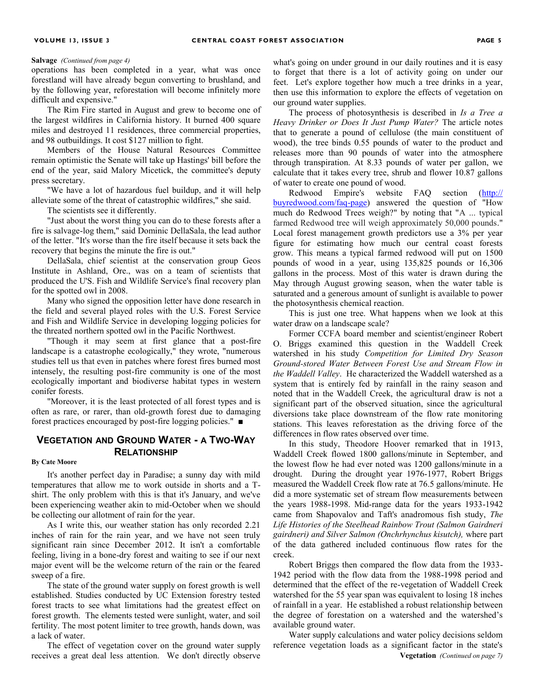#### **Salvage** *(Continued from page 4)*

operations has been completed in a year, what was once forestland will have already begun converting to brushland, and by the following year, reforestation will become infinitely more difficult and expensive."

The Rim Fire started in August and grew to become one of the largest wildfires in California history. It burned 400 square miles and destroyed 11 residences, three commercial properties, and 98 outbuildings. It cost \$127 million to fight.

Members of the House Natural Resources Committee remain optimistic the Senate will take up Hastings' bill before the end of the year, said Malory Micetick, the committee's deputy press secretary.

"We have a lot of hazardous fuel buildup, and it will help alleviate some of the threat of catastrophic wildfires," she said.

The scientists see it differently.

"Just about the worst thing you can do to these forests after a fire is salvage-log them," said Dominic DellaSala, the lead author of the letter. "It's worse than the fire itself because it sets back the recovery that begins the minute the fire is out."

DellaSala, chief scientist at the conservation group Geos Institute in Ashland, Ore., was on a team of scientists that produced the U'S. Fish and Wildlife Service's final recovery plan for the spotted owl in 2008.

Many who signed the opposition letter have done research in the field and several played roles with the U.S. Forest Service and Fish and Wildlife Service in developing logging policies for the threated northern spotted owl in the Pacific Northwest.

"Though it may seem at first glance that a post-fire landscape is a catastrophe ecologically," they wrote, "numerous studies tell us that even in patches where forest fires burned most intensely, the resulting post-fire community is one of the most ecologically important and biodiverse habitat types in western conifer forests.

"Moreover, it is the least protected of all forest types and is often as rare, or rarer, than old-growth forest due to damaging forest practices encouraged by post-fire logging policies." ■

## **VEGETATION AND GROUND WATER - A TWO-WAY RELATIONSHIP**

#### **By Cate Moore**

It's another perfect day in Paradise; a sunny day with mild temperatures that allow me to work outside in shorts and a Tshirt. The only problem with this is that it's January, and we've been experiencing weather akin to mid-October when we should be collecting our allotment of rain for the year.

As I write this, our weather station has only recorded 2.21 inches of rain for the rain year, and we have not seen truly significant rain since December 2012. It isn't a comfortable feeling, living in a bone-dry forest and waiting to see if our next major event will be the welcome return of the rain or the feared sweep of a fire.

The state of the ground water supply on forest growth is well established. Studies conducted by UC Extension forestry tested forest tracts to see what limitations had the greatest effect on forest growth. The elements tested were sunlight, water, and soil fertility. The most potent limiter to tree growth, hands down, was a lack of water.

The effect of vegetation cover on the ground water supply receives a great deal less attention. We don't directly observe what's going on under ground in our daily routines and it is easy to forget that there is a lot of activity going on under our feet. Let's explore together how much a tree drinks in a year, then use this information to explore the effects of vegetation on our ground water supplies.

The process of photosynthesis is described in *Is a Tree a Heavy Drinker or Does It Just Pump Water?* The article notes that to generate a pound of cellulose (the main constituent of wood), the tree binds 0.55 pounds of water to the product and releases more than 90 pounds of water into the atmosphere through transpiration. At 8.33 pounds of water per gallon, we calculate that it takes every tree, shrub and flower 10.87 gallons of water to create one pound of wood.

Redwood Empire's website FAQ section ([http://](http://buyredwood.com/faq-page) [buyredwood.com/faq](http://buyredwood.com/faq-page)-page) answered the question of "How much do Redwood Trees weigh?" by noting that "A ... typical farmed Redwood tree will weigh approximately 50,000 pounds." Local forest management growth predictors use a 3% per year figure for estimating how much our central coast forests grow. This means a typical farmed redwood will put on 1500 pounds of wood in a year, using 135,825 pounds or 16,306 gallons in the process. Most of this water is drawn during the May through August growing season, when the water table is saturated and a generous amount of sunlight is available to power the photosynthesis chemical reaction.

This is just one tree. What happens when we look at this water draw on a landscape scale?

Former CCFA board member and scientist/engineer Robert O. Briggs examined this question in the Waddell Creek watershed in his study *Competition for Limited Dry Season Ground-stored Water Between Forest Use and Stream Flow in the Waddell Valley*. He characterized the Waddell watershed as a system that is entirely fed by rainfall in the rainy season and noted that in the Waddell Creek, the agricultural draw is not a significant part of the observed situation, since the agricultural diversions take place downstream of the flow rate monitoring stations. This leaves reforestation as the driving force of the differences in flow rates observed over time.

In this study, Theodore Hoover remarked that in 1913, Waddell Creek flowed 1800 gallons/minute in September, and the lowest flow he had ever noted was 1200 gallons/minute in a drought. During the drought year 1976-1977, Robert Briggs measured the Waddell Creek flow rate at 76.5 gallons/minute. He did a more systematic set of stream flow measurements between the years 1988-1998. Mid-range data for the years 1933-1942 came from Shapovalov and Taft's anadromous fish study, *The Life Histories of the Steelhead Rainbow Trout (Salmon Gairdneri gairdneri) and Silver Salmon (Onchrhynchus kisutch),* where part of the data gathered included continuous flow rates for the creek.

Robert Briggs then compared the flow data from the 1933- 1942 period with the flow data from the 1988-1998 period and determined that the effect of the re-vegetation of Waddell Creek watershed for the 55 year span was equivalent to losing 18 inches of rainfall in a year. He established a robust relationship between the degree of forestation on a watershed and the watershed's available ground water.

Water supply calculations and water policy decisions seldom reference vegetation loads as a significant factor in the state's **Vegetation** *(Continued on page 7)*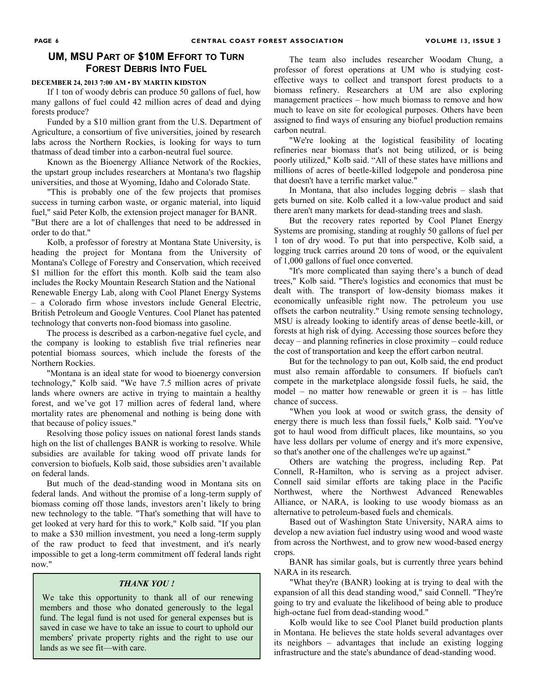## **UM, MSU PART OF \$10M EFFORT TO TURN FOREST DEBRIS INTO FUEL**

#### **DECEMBER 24, 2013 7:00 AM • BY MARTIN KIDSTON**

If 1 ton of woody debris can produce 50 gallons of fuel, how many gallons of fuel could 42 million acres of dead and dying forests produce?

Funded by a \$10 million grant from the U.S. Department of Agriculture, a consortium of five universities, joined by research labs across the Northern Rockies, is looking for ways to turn thatmass of dead timber into a carbon-neutral fuel source.

Known as the Bioenergy Alliance Network of the Rockies, the upstart group includes researchers at Montana's two flagship universities, and those at Wyoming, Idaho and Colorado State.

"This is probably one of the few projects that promises success in turning carbon waste, or organic material, into liquid fuel," said Peter Kolb, the extension project manager for BANR. "But there are a lot of challenges that need to be addressed in order to do that."

Kolb, a professor of forestry at Montana State University, is heading the project for Montana from the University of Montana's College of Forestry and Conservation, which received \$1 million for the effort this month. Kolb said the team also includes the Rocky Mountain Research Station and the National Renewable Energy Lab, along with Cool Planet Energy Systems – a Colorado firm whose investors include General Electric, British Petroleum and Google Ventures. Cool Planet has patented technology that converts non-food biomass into gasoline.

The process is described as a carbon-negative fuel cycle, and the company is looking to establish five trial refineries near potential biomass sources, which include the forests of the Northern Rockies.

"Montana is an ideal state for wood to bioenergy conversion technology," Kolb said. "We have 7.5 million acres of private lands where owners are active in trying to maintain a healthy forest, and we've got 17 million acres of federal land, where mortality rates are phenomenal and nothing is being done with that because of policy issues."

Resolving those policy issues on national forest lands stands high on the list of challenges BANR is working to resolve. While subsidies are available for taking wood off private lands for conversion to biofuels, Kolb said, those subsidies aren't available on federal lands.

But much of the dead-standing wood in Montana sits on federal lands. And without the promise of a long-term supply of biomass coming off those lands, investors aren't likely to bring new technology to the table. "That's something that will have to get looked at very hard for this to work," Kolb said. "If you plan to make a \$30 million investment, you need a long-term supply of the raw product to feed that investment, and it's nearly impossible to get a long-term commitment off federal lands right now."

#### *THANK YOU !*

We take this opportunity to thank all of our renewing members and those who donated generously to the legal fund. The legal fund is not used for general expenses but is saved in case we have to take an issue to court to uphold our members' private property rights and the right to use our lands as we see fit—with care.

The team also includes researcher Woodam Chung, a professor of forest operations at UM who is studying costeffective ways to collect and transport forest products to a biomass refinery. Researchers at UM are also exploring management practices – how much biomass to remove and how much to leave on site for ecological purposes. Others have been assigned to find ways of ensuring any biofuel production remains carbon neutral.

"We're looking at the logistical feasibility of locating refineries near biomass that's not being utilized, or is being poorly utilized," Kolb said. "All of these states have millions and millions of acres of beetle-killed lodgepole and ponderosa pine that doesn't have a terrific market value."

In Montana, that also includes logging debris – slash that gets burned on site. Kolb called it a low-value product and said there aren't many markets for dead-standing trees and slash.

But the recovery rates reported by Cool Planet Energy Systems are promising, standing at roughly 50 gallons of fuel per 1 ton of dry wood. To put that into perspective, Kolb said, a logging truck carries around 20 tons of wood, or the equivalent of 1,000 gallons of fuel once converted.

"It's more complicated than saying there's a bunch of dead trees," Kolb said. "There's logistics and economics that must be dealt with. The transport of low-density biomass makes it economically unfeasible right now. The petroleum you use offsets the carbon neutrality." Using remote sensing technology, MSU is already looking to identify areas of dense beetle-kill, or forests at high risk of dying. Accessing those sources before they decay – and planning refineries in close proximity – could reduce the cost of transportation and keep the effort carbon neutral.

But for the technology to pan out, Kolb said, the end product must also remain affordable to consumers. If biofuels can't compete in the marketplace alongside fossil fuels, he said, the model – no matter how renewable or green it is – has little chance of success.

"When you look at wood or switch grass, the density of energy there is much less than fossil fuels," Kolb said. "You've got to haul wood from difficult places, like mountains, so you have less dollars per volume of energy and it's more expensive, so that's another one of the challenges we're up against."

Others are watching the progress, including Rep. Pat Connell, R-Hamilton, who is serving as a project adviser. Connell said similar efforts are taking place in the Pacific Northwest, where the Northwest Advanced Renewables Alliance, or NARA, is looking to use woody biomass as an alternative to petroleum-based fuels and chemicals.

Based out of Washington State University, NARA aims to develop a new aviation fuel industry using wood and wood waste from across the Northwest, and to grow new wood-based energy crops.

BANR has similar goals, but is currently three years behind NARA in its research.

"What they're (BANR) looking at is trying to deal with the expansion of all this dead standing wood," said Connell. "They're going to try and evaluate the likelihood of being able to produce high-octane fuel from dead-standing wood."

Kolb would like to see Cool Planet build production plants in Montana. He believes the state holds several advantages over its neighbors – advantages that include an existing logging infrastructure and the state's abundance of dead-standing wood.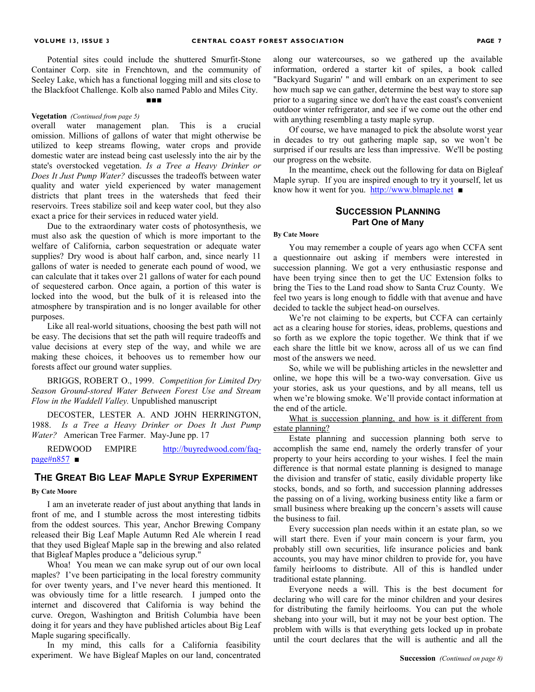Potential sites could include the shuttered Smurfit-Stone Container Corp. site in Frenchtown, and the community of Seeley Lake, which has a functional logging mill and sits close to the Blackfoot Challenge. Kolb also named Pablo and Miles City.

### ■■■

#### **Vegetation** *(Continued from page 5)*

overall water management plan. This is a crucial omission. Millions of gallons of water that might otherwise be utilized to keep streams flowing, water crops and provide domestic water are instead being cast uselessly into the air by the state's overstocked vegetation. *Is a Tree a Heavy Drinker or Does It Just Pump Water?* discusses the tradeoffs between water quality and water yield experienced by water management districts that plant trees in the watersheds that feed their reservoirs. Trees stabilize soil and keep water cool, but they also exact a price for their services in reduced water yield.

Due to the extraordinary water costs of photosynthesis, we must also ask the question of which is more important to the welfare of California, carbon sequestration or adequate water supplies? Dry wood is about half carbon, and, since nearly 11 gallons of water is needed to generate each pound of wood, we can calculate that it takes over 21 gallons of water for each pound of sequestered carbon. Once again, a portion of this water is locked into the wood, but the bulk of it is released into the atmosphere by transpiration and is no longer available for other purposes.

Like all real-world situations, choosing the best path will not be easy. The decisions that set the path will require tradeoffs and value decisions at every step of the way, and while we are making these choices, it behooves us to remember how our forests affect our ground water supplies.

BRIGGS, ROBERT O., 1999. *Competition for Limited Dry Season Ground-stored Water Between Forest Use and Stream Flow in the Waddell Valley.* Unpublished manuscript

DECOSTER, LESTER A. AND JOHN HERRINGTON, 1988. *Is a Tree a Heavy Drinker or Does It Just Pump Water?* American Tree Farmer. May-June pp. 17

REDWOOD EMPIRE [http://buyredwood.com/faq](http://buyredwood.com/faq-page)[page#n857](http://buyredwood.com/faq-page) ■

### **THE GREAT BIG LEAF MAPLE SYRUP EXPERIMENT**

#### **By Cate Moore**

I am an inveterate reader of just about anything that lands in front of me, and I stumble across the most interesting tidbits from the oddest sources. This year, Anchor Brewing Company released their Big Leaf Maple Autumn Red Ale wherein I read that they used Bigleaf Maple sap in the brewing and also related that Bigleaf Maples produce a "delicious syrup."

Whoa! You mean we can make syrup out of our own local maples? I've been participating in the local forestry community for over twenty years, and I've never heard this mentioned. It was obviously time for a little research. I jumped onto the internet and discovered that California is way behind the curve. Oregon, Washington and British Columbia have been doing it for years and they have published articles about Big Leaf Maple sugaring specifically.

In my mind, this calls for a California feasibility experiment. We have Bigleaf Maples on our land, concentrated along our watercourses, so we gathered up the available information, ordered a starter kit of spiles, a book called "Backyard Sugarin' " and will embark on an experiment to see how much sap we can gather, determine the best way to store sap prior to a sugaring since we don't have the east coast's convenient outdoor winter refrigerator, and see if we come out the other end with anything resembling a tasty maple syrup.

Of course, we have managed to pick the absolute worst year in decades to try out gathering maple sap, so we won't be surprised if our results are less than impressive. We'll be posting our progress on the website.

In the meantime, check out the following for data on Bigleaf Maple syrup. If you are inspired enough to try it yourself, let us know how it went for you.  $\frac{http://www.blmaple.net}$ 

## **SUCCESSION PLANNING Part One of Many**

#### **By Cate Moore**

You may remember a couple of years ago when CCFA sent a questionnaire out asking if members were interested in succession planning. We got a very enthusiastic response and have been trying since then to get the UC Extension folks to bring the Ties to the Land road show to Santa Cruz County. We feel two years is long enough to fiddle with that avenue and have decided to tackle the subject head-on ourselves.

We're not claiming to be experts, but CCFA can certainly act as a clearing house for stories, ideas, problems, questions and so forth as we explore the topic together. We think that if we each share the little bit we know, across all of us we can find most of the answers we need.

So, while we will be publishing articles in the newsletter and online, we hope this will be a two-way conversation. Give us your stories, ask us your questions, and by all means, tell us when we're blowing smoke. We'll provide contact information at the end of the article.

What is succession planning, and how is it different from estate planning?

Estate planning and succession planning both serve to accomplish the same end, namely the orderly transfer of your property to your heirs according to your wishes. I feel the main difference is that normal estate planning is designed to manage the division and transfer of static, easily dividable property like stocks, bonds, and so forth, and succession planning addresses the passing on of a living, working business entity like a farm or small business where breaking up the concern's assets will cause the business to fail.

Every succession plan needs within it an estate plan, so we will start there. Even if your main concern is your farm, you probably still own securities, life insurance policies and bank accounts, you may have minor children to provide for, you have family heirlooms to distribute. All of this is handled under traditional estate planning.

Everyone needs a will. This is the best document for declaring who will care for the minor children and your desires for distributing the family heirlooms. You can put the whole shebang into your will, but it may not be your best option. The problem with wills is that everything gets locked up in probate until the court declares that the will is authentic and all the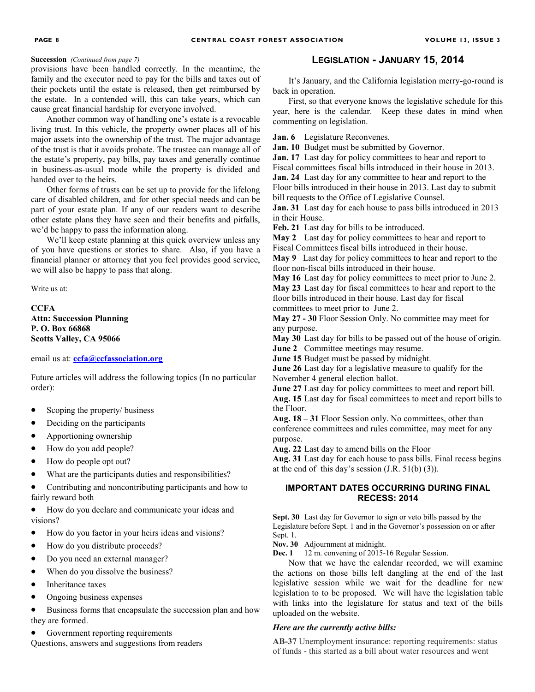provisions have been handled correctly. In the meantime, the family and the executor need to pay for the bills and taxes out of their pockets until the estate is released, then get reimbursed by the estate. In a contended will, this can take years, which can cause great financial hardship for everyone involved.

Another common way of handling one's estate is a revocable living trust. In this vehicle, the property owner places all of his major assets into the ownership of the trust. The major advantage of the trust is that it avoids probate. The trustee can manage all of the estate's property, pay bills, pay taxes and generally continue in business-as-usual mode while the property is divided and handed over to the heirs.

Other forms of trusts can be set up to provide for the lifelong care of disabled children, and for other special needs and can be part of your estate plan. If any of our readers want to describe other estate plans they have seen and their benefits and pitfalls, we'd be happy to pass the information along.

We'll keep estate planning at this quick overview unless any of you have questions or stories to share. Also, if you have a financial planner or attorney that you feel provides good service, we will also be happy to pass that along.

Write us at:

## **CCFA Attn: Succession Planning P. O. Box 66868 Scotts Valley, CA 95066**

email us at: **[ccfa@ccfassociation.org](mailto:ccfa@ccfassociation.org)**

Future articles will address the following topics (In no particular order):

- Scoping the property/ business
- Deciding on the participants
- Apportioning ownership
- How do you add people?
- How do people opt out?
- What are the participants duties and responsibilities?

 Contributing and noncontributing participants and how to fairly reward both

 How do you declare and communicate your ideas and visions?

- How do you factor in your heirs ideas and visions?
- How do you distribute proceeds?
- Do you need an external manager?
- When do you dissolve the business?
- Inheritance taxes
- Ongoing business expenses
- Business forms that encapsulate the succession plan and how they are formed.
- Government reporting requirements
- Questions, answers and suggestions from readers

## **Succession** *(Continued from page 7)* **LEGISLATION - JANUARY 15, 2014**

It's January, and the California legislation merry-go-round is back in operation.

First, so that everyone knows the legislative schedule for this year, here is the calendar. Keep these dates in mind when commenting on legislation.

**Jan. 6** Legislature Reconvenes.

**Jan. 10** Budget must be submitted by Governor.

**Jan. 17** Last day for policy committees to hear and report to

Fiscal committees fiscal bills introduced in their house in 2013. **Jan. 24** Last day for any committee to hear and report to the

Floor bills introduced in their house in 2013. Last day to submit bill requests to the Office of Legislative Counsel.

**Jan. 31** Last day for each house to pass bills introduced in 2013 in their House.

**Feb. 21** Last day for bills to be introduced.

**May 2** Last day for policy committees to hear and report to Fiscal Committees fiscal bills introduced in their house.

**May 9** Last day for policy committees to hear and report to the floor non-fiscal bills introduced in their house.

**May 16** Last day for policy committees to meet prior to June 2. **May 23** Last day for fiscal committees to hear and report to the floor bills introduced in their house. Last day for fiscal committees to meet prior to June 2.

**May 27 - 30** Floor Session Only. No committee may meet for any purpose.

**May 30** Last day for bills to be passed out of the house of origin. **June 2** Committee meetings may resume.

**June 15** Budget must be passed by midnight.

**June 26** Last day for a legislative measure to qualify for the November 4 general election ballot.

**June 27** Last day for policy committees to meet and report bill. **Aug. 15** Last day for fiscal committees to meet and report bills to the Floor.

**Aug. 18 – 31** Floor Session only. No committees, other than conference committees and rules committee, may meet for any purpose.

**Aug. 22** Last day to amend bills on the Floor

**Aug. 31** Last day for each house to pass bills. Final recess begins at the end of this day's session  $(J.R. 51(b) (3))$ .

## **IMPORTANT DATES OCCURRING DURING FINAL RECESS: 2014**

**Sept. 30** Last day for Governor to sign or veto bills passed by the Legislature before Sept. 1 and in the Governor's possession on or after Sept. 1.

**Nov. 30** Adjournment at midnight.

**Dec. 1** 12 m. convening of 2015-16 Regular Session.

Now that we have the calendar recorded, we will examine the actions on those bills left dangling at the end of the last legislative session while we wait for the deadline for new legislation to to be proposed. We will have the legislation table with links into the legislature for status and text of the bills uploaded on the website.

### *Here are the currently active bills:*

**AB-37** Unemployment insurance: reporting requirements: status of funds - this started as a bill about water resources and went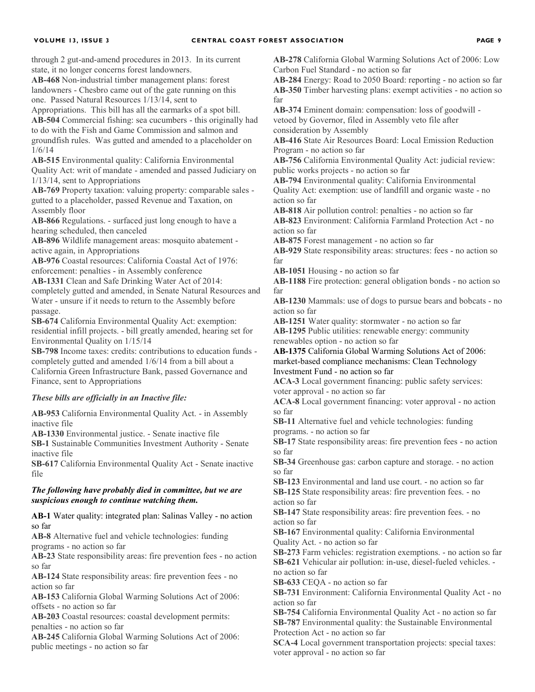through 2 gut-and-amend procedures in 2013. In its current state, it no longer concerns forest landowners.

**AB-468** Non-industrial timber management plans: forest landowners - Chesbro came out of the gate running on this one. Passed Natural Resources 1/13/14, sent to

Appropriations. This bill has all the earmarks of a spot bill. **AB-504** Commercial fishing: sea cucumbers - this originally had to do with the Fish and Game Commission and salmon and groundfish rules. Was gutted and amended to a placeholder on 1/6/14

**AB-515** Environmental quality: California Environmental Quality Act: writ of mandate - amended and passed Judiciary on 1/13/14, sent to Appropriations

**AB-769** Property taxation: valuing property: comparable sales gutted to a placeholder, passed Revenue and Taxation, on Assembly floor

**AB-866** Regulations. - surfaced just long enough to have a hearing scheduled, then canceled

**AB-896** Wildlife management areas: mosquito abatement active again, in Appropriations

**AB-976** Coastal resources: California Coastal Act of 1976: enforcement: penalties - in Assembly conference

**AB-1331** Clean and Safe Drinking Water Act of 2014:

completely gutted and amended, in Senate Natural Resources and Water - unsure if it needs to return to the Assembly before passage.

**SB-674** California Environmental Quality Act: exemption: residential infill projects. - bill greatly amended, hearing set for Environmental Quality on 1/15/14

**SB-798** Income taxes: credits: contributions to education funds completely gutted and amended 1/6/14 from a bill about a California Green Infrastructure Bank, passed Governance and Finance, sent to Appropriations

## *These bills are officially in an Inactive file:*

**AB-953** California Environmental Quality Act. - in Assembly inactive file

**AB-1330** Environmental justice. - Senate inactive file

**SB-1** Sustainable Communities Investment Authority - Senate inactive file

**SB-617** California Environmental Quality Act - Senate inactive file

## *The following have probably died in committee, but we are suspicious enough to continue watching them.*

**AB-1** Water quality: integrated plan: Salinas Valley - no action so far

**AB-8** Alternative fuel and vehicle technologies: funding programs - no action so far

**AB-23** State responsibility areas: fire prevention fees - no action so far

**AB-124** State responsibility areas: fire prevention fees - no action so far

**AB-153** California Global Warming Solutions Act of 2006: offsets - no action so far

**AB-203** Coastal resources: coastal development permits: penalties - no action so far

**AB-245** California Global Warming Solutions Act of 2006: public meetings - no action so far

**AB-278** California Global Warming Solutions Act of 2006: Low Carbon Fuel Standard - no action so far

**AB-284** Energy: Road to 2050 Board: reporting - no action so far **AB-350** Timber harvesting plans: exempt activities - no action so far

**AB-374** Eminent domain: compensation: loss of goodwill vetoed by Governor, filed in Assembly veto file after consideration by Assembly

**AB-416** State Air Resources Board: Local Emission Reduction Program - no action so far

**AB-756** California Environmental Quality Act: judicial review: public works projects - no action so far

**AB-794** Environmental quality: California Environmental Quality Act: exemption: use of landfill and organic waste - no action so far

**AB-818** Air pollution control: penalties - no action so far **AB-823** Environment: California Farmland Protection Act - no action so far

**AB-875** Forest management - no action so far

**AB-929** State responsibility areas: structures: fees - no action so far

**AB-1051** Housing - no action so far

**AB-1188** Fire protection: general obligation bonds - no action so far

**AB-1230** Mammals: use of dogs to pursue bears and bobcats - no action so far

**AB-1251** Water quality: stormwater - no action so far

**AB-1295** Public utilities: renewable energy: community renewables option - no action so far

**AB-1375** California Global Warming Solutions Act of 2006: market-based compliance mechanisms: Clean Technology Investment Fund - no action so far

**ACA-3** Local government financing: public safety services: voter approval - no action so far

**ACA-8** Local government financing: voter approval - no action so far

**SB-11** Alternative fuel and vehicle technologies: funding programs. - no action so far

**SB-17** State responsibility areas: fire prevention fees - no action so far

**SB-34** Greenhouse gas: carbon capture and storage. - no action so far

**SB-123** Environmental and land use court. - no action so far **SB-125** State responsibility areas: fire prevention fees. - no action so far

**SB-147** State responsibility areas: fire prevention fees. - no action so far

**SB-167** Environmental quality: California Environmental Quality Act. - no action so far

**SB-273** Farm vehicles: registration exemptions. - no action so far **SB-621** Vehicular air pollution: in-use, diesel-fueled vehicles. no action so far

**SB-633** CEQA - no action so far

**SB-731** Environment: California Environmental Quality Act - no action so far

**SB-754** California Environmental Quality Act - no action so far **SB-787** Environmental quality: the Sustainable Environmental Protection Act - no action so far

**SCA-4** Local government transportation projects: special taxes: voter approval - no action so far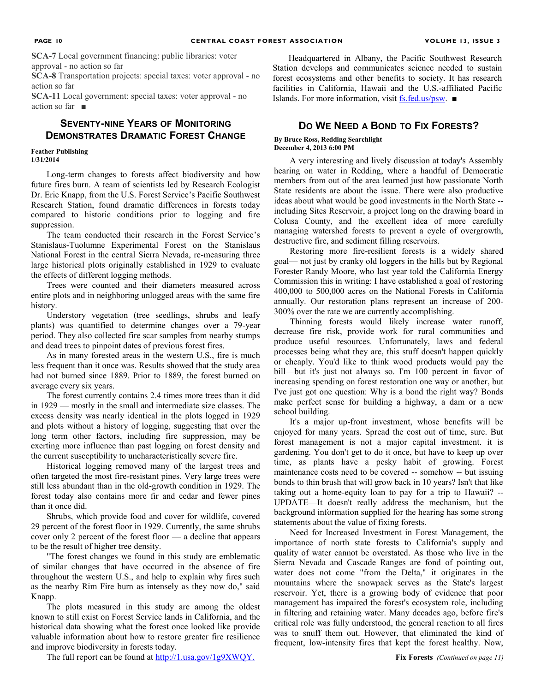**SCA-7** Local government financing: public libraries: voter approval - no action so far

**SCA-8** Transportation projects: special taxes: voter approval - no action so far

**SCA-11** Local government: special taxes: voter approval - no action so far ■

## **SEVENTY-NINE YEARS OF M[ONITORING](http://www.plumasnews.com/index.php?option=com_content&view=article&id=12122:seventy-nine-years-of-monitoring-demonstrates-dramatic-forest-change&catid=69:-headline-news&Itemid=6) D[EMONSTRATES](http://www.plumasnews.com/index.php?option=com_content&view=article&id=12122:seventy-nine-years-of-monitoring-demonstrates-dramatic-forest-change&catid=69:-headline-news&Itemid=6) DRAMATIC FOREST CHANGE**

#### **Feather Publishing 1/31/2014**

Long-term changes to forests affect biodiversity and how future fires burn. A team of scientists led by Research Ecologist Dr. Eric Knapp, from the U.S. Forest Service's Pacific Southwest Research Station, found dramatic differences in forests today compared to historic conditions prior to logging and fire suppression.

The team conducted their research in the Forest Service's Stanislaus-Tuolumne Experimental Forest on the Stanislaus National Forest in the central Sierra Nevada, re-measuring three large historical plots originally established in 1929 to evaluate the effects of different logging methods.

Trees were counted and their diameters measured across entire plots and in neighboring unlogged areas with the same fire history.

Understory vegetation (tree seedlings, shrubs and leafy plants) was quantified to determine changes over a 79-year period. They also collected fire scar samples from nearby stumps and dead trees to pinpoint dates of previous forest fires.

As in many forested areas in the western U.S., fire is much less frequent than it once was. Results showed that the study area had not burned since 1889. Prior to 1889, the forest burned on average every six years.

The forest currently contains 2.4 times more trees than it did in 1929 — mostly in the small and intermediate size classes. The excess density was nearly identical in the plots logged in 1929 and plots without a history of logging, suggesting that over the long term other factors, including fire suppression, may be exerting more influence than past logging on forest density and the current susceptibility to uncharacteristically severe fire.

Historical logging removed many of the largest trees and often targeted the most fire-resistant pines. Very large trees were still less abundant than in the old-growth condition in 1929. The forest today also contains more fir and cedar and fewer pines than it once did.

Shrubs, which provide food and cover for wildlife, covered 29 percent of the forest floor in 1929. Currently, the same shrubs cover only 2 percent of the forest floor — a decline that appears to be the result of higher tree density.

"The forest changes we found in this study are emblematic of similar changes that have occurred in the absence of fire throughout the western U.S., and help to explain why fires such as the nearby Rim Fire burn as intensely as they now do," said Knapp.

The plots measured in this study are among the oldest known to still exist on Forest Service lands in California, and the historical data showing what the forest once looked like provide valuable information about how to restore greater fire resilience and improve biodiversity in forests today.

The full report can be found at <http://1.usa.gov/1g9XWQY.>

Headquartered in Albany, the Pacific Southwest Research Station develops and communicates science needed to sustain forest ecosystems and other benefits to society. It has research facilities in California, Hawaii and the U.S.-affiliated Pacific Islands. For more information, visit [fs.fed.us/psw.](http://www.fs.fed.us/psw/) ■

## **DO WE NEED A BOND TO FIX FORESTS?**

#### **By Bruce Ross, Redding Searchlight December 4, 2013 6:00 PM**

A very interesting and lively discussion at today's Assembly hearing on water in Redding, where a handful of Democratic members from out of the area learned just how passionate North State residents are about the issue. There were also productive ideas about what would be good investments in the North State - including Sites Reservoir, a project long on the drawing board in Colusa County, and the excellent idea of more carefully managing watershed forests to prevent a cycle of overgrowth, destructive fire, and sediment filling reservoirs.

Restoring more fire-resilient forests is a widely shared goal— not just by cranky old loggers in the hills but by Regional Forester Randy Moore, who last year told the California Energy Commission this in writing: I have established a goal of restoring 400,000 to 500,000 acres on the National Forests in California annually. Our restoration plans represent an increase of 200- 300% over the rate we are currently accomplishing.

Thinning forests would likely increase water runoff, decrease fire risk, provide work for rural communities and produce useful resources. Unfortunately, laws and federal processes being what they are, this stuff doesn't happen quickly or cheaply. You'd like to think wood products would pay the bill—but it's just not always so. I'm 100 percent in favor of increasing spending on forest restoration one way or another, but I've just got one question: Why is a bond the right way? Bonds make perfect sense for building a highway, a dam or a new school building.

It's a major up-front investment, whose benefits will be enjoyed for many years. Spread the cost out of time, sure. But forest management is not a major capital investment. it is gardening. You don't get to do it once, but have to keep up over time, as plants have a pesky habit of growing. Forest maintenance costs need to be covered -- somehow -- but issuing bonds to thin brush that will grow back in 10 years? Isn't that like taking out a home-equity loan to pay for a trip to Hawaii? -- UPDATE—It doesn't really address the mechanism, but the background information supplied for the hearing has some strong statements about the value of fixing forests.

Need for Increased Investment in Forest Management, the importance of north state forests to California's supply and quality of water cannot be overstated. As those who live in the Sierra Nevada and Cascade Ranges are fond of pointing out, water does not come "from the Delta," it originates in the mountains where the snowpack serves as the State's largest reservoir. Yet, there is a growing body of evidence that poor management has impaired the forest's ecosystem role, including in filtering and retaining water. Many decades ago, before fire's critical role was fully understood, the general reaction to all fires was to snuff them out. However, that eliminated the kind of frequent, low-intensity fires that kept the forest healthy. Now,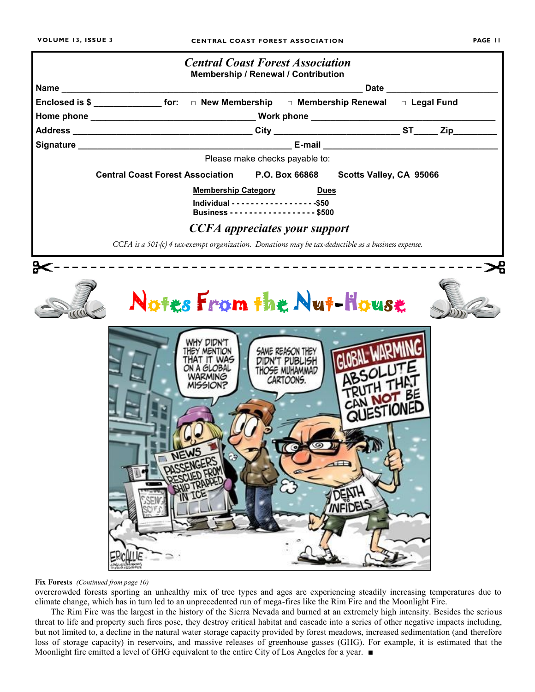

#### **Fix Forests** *(Continued from page 10)*

overcrowded forests sporting an unhealthy mix of tree types and ages are experiencing steadily increasing temperatures due to climate change, which has in turn led to an unprecedented run of mega-fires like the Rim Fire and the Moonlight Fire.

The Rim Fire was the largest in the history of the Sierra Nevada and burned at an extremely high intensity. Besides the serious threat to life and property such fires pose, they destroy critical habitat and cascade into a series of other negative impacts including, but not limited to, a decline in the natural water storage capacity provided by forest meadows, increased sedimentation (and therefore loss of storage capacity) in reservoirs, and massive releases of greenhouse gasses (GHG). For example, it is estimated that the Moonlight fire emitted a level of GHG equivalent to the entire City of Los Angeles for a year. ■